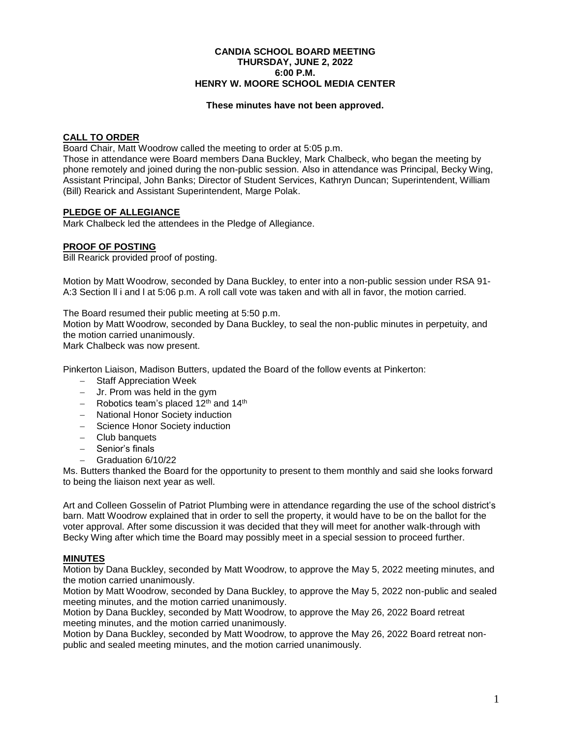#### **CANDIA SCHOOL BOARD MEETING THURSDAY, JUNE 2, 2022 6:00 P.M. HENRY W. MOORE SCHOOL MEDIA CENTER**

#### **These minutes have not been approved.**

### **CALL TO ORDER**

Board Chair, Matt Woodrow called the meeting to order at 5:05 p.m.

Those in attendance were Board members Dana Buckley, Mark Chalbeck, who began the meeting by phone remotely and joined during the non-public session. Also in attendance was Principal, Becky Wing, Assistant Principal, John Banks; Director of Student Services, Kathryn Duncan; Superintendent, William (Bill) Rearick and Assistant Superintendent, Marge Polak.

### **PLEDGE OF ALLEGIANCE**

Mark Chalbeck led the attendees in the Pledge of Allegiance.

### **PROOF OF POSTING**

Bill Rearick provided proof of posting.

Motion by Matt Woodrow, seconded by Dana Buckley, to enter into a non-public session under RSA 91- A:3 Section ll i and l at 5:06 p.m. A roll call vote was taken and with all in favor, the motion carried.

The Board resumed their public meeting at 5:50 p.m.

Motion by Matt Woodrow, seconded by Dana Buckley, to seal the non-public minutes in perpetuity, and the motion carried unanimously.

Mark Chalbeck was now present.

Pinkerton Liaison, Madison Butters, updated the Board of the follow events at Pinkerton:

- Staff Appreciation Week
- $-$  Jr. Prom was held in the gym
- $-$  Robotics team's placed 12<sup>th</sup> and 14<sup>th</sup>
- National Honor Society induction
- Science Honor Society induction
- Club banquets
- Senior's finals
- Graduation 6/10/22

Ms. Butters thanked the Board for the opportunity to present to them monthly and said she looks forward to being the liaison next year as well.

Art and Colleen Gosselin of Patriot Plumbing were in attendance regarding the use of the school district's barn. Matt Woodrow explained that in order to sell the property, it would have to be on the ballot for the voter approval. After some discussion it was decided that they will meet for another walk-through with Becky Wing after which time the Board may possibly meet in a special session to proceed further.

## **MINUTES**

Motion by Dana Buckley, seconded by Matt Woodrow, to approve the May 5, 2022 meeting minutes, and the motion carried unanimously.

Motion by Matt Woodrow, seconded by Dana Buckley, to approve the May 5, 2022 non-public and sealed meeting minutes, and the motion carried unanimously.

Motion by Dana Buckley, seconded by Matt Woodrow, to approve the May 26, 2022 Board retreat meeting minutes, and the motion carried unanimously.

Motion by Dana Buckley, seconded by Matt Woodrow, to approve the May 26, 2022 Board retreat nonpublic and sealed meeting minutes, and the motion carried unanimously.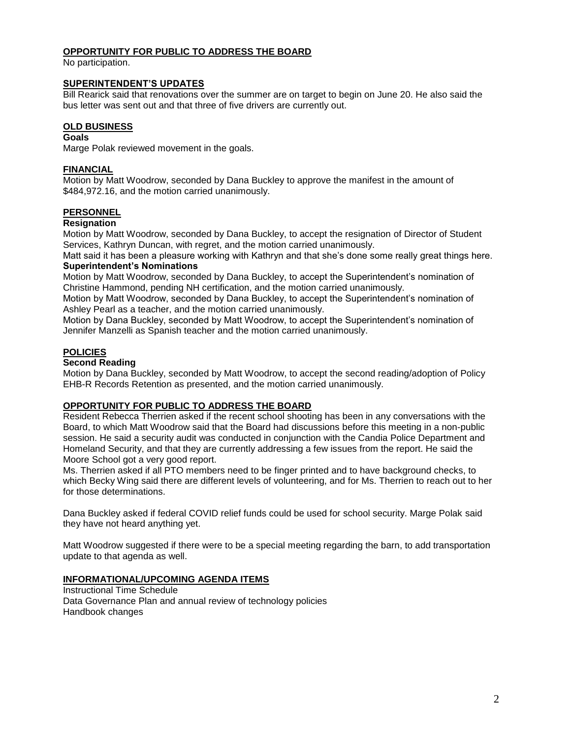## **OPPORTUNITY FOR PUBLIC TO ADDRESS THE BOARD**

No participation.

#### **SUPERINTENDENT'S UPDATES**

Bill Rearick said that renovations over the summer are on target to begin on June 20. He also said the bus letter was sent out and that three of five drivers are currently out.

### **OLD BUSINESS**

#### **Goals**

Marge Polak reviewed movement in the goals.

## **FINANCIAL**

Motion by Matt Woodrow, seconded by Dana Buckley to approve the manifest in the amount of \$484,972.16, and the motion carried unanimously.

### **PERSONNEL**

#### **Resignation**

Motion by Matt Woodrow, seconded by Dana Buckley, to accept the resignation of Director of Student Services, Kathryn Duncan, with regret, and the motion carried unanimously.

Matt said it has been a pleasure working with Kathryn and that she's done some really great things here. **Superintendent's Nominations**

Motion by Matt Woodrow, seconded by Dana Buckley, to accept the Superintendent's nomination of Christine Hammond, pending NH certification, and the motion carried unanimously.

Motion by Matt Woodrow, seconded by Dana Buckley, to accept the Superintendent's nomination of Ashley Pearl as a teacher, and the motion carried unanimously.

Motion by Dana Buckley, seconded by Matt Woodrow, to accept the Superintendent's nomination of Jennifer Manzelli as Spanish teacher and the motion carried unanimously.

## **POLICIES**

#### **Second Reading**

Motion by Dana Buckley, seconded by Matt Woodrow, to accept the second reading/adoption of Policy EHB-R Records Retention as presented, and the motion carried unanimously.

## **OPPORTUNITY FOR PUBLIC TO ADDRESS THE BOARD**

Resident Rebecca Therrien asked if the recent school shooting has been in any conversations with the Board, to which Matt Woodrow said that the Board had discussions before this meeting in a non-public session. He said a security audit was conducted in conjunction with the Candia Police Department and Homeland Security, and that they are currently addressing a few issues from the report. He said the Moore School got a very good report.

Ms. Therrien asked if all PTO members need to be finger printed and to have background checks, to which Becky Wing said there are different levels of volunteering, and for Ms. Therrien to reach out to her for those determinations.

Dana Buckley asked if federal COVID relief funds could be used for school security. Marge Polak said they have not heard anything yet.

Matt Woodrow suggested if there were to be a special meeting regarding the barn, to add transportation update to that agenda as well.

## **INFORMATIONAL/UPCOMING AGENDA ITEMS**

Instructional Time Schedule Data Governance Plan and annual review of technology policies Handbook changes